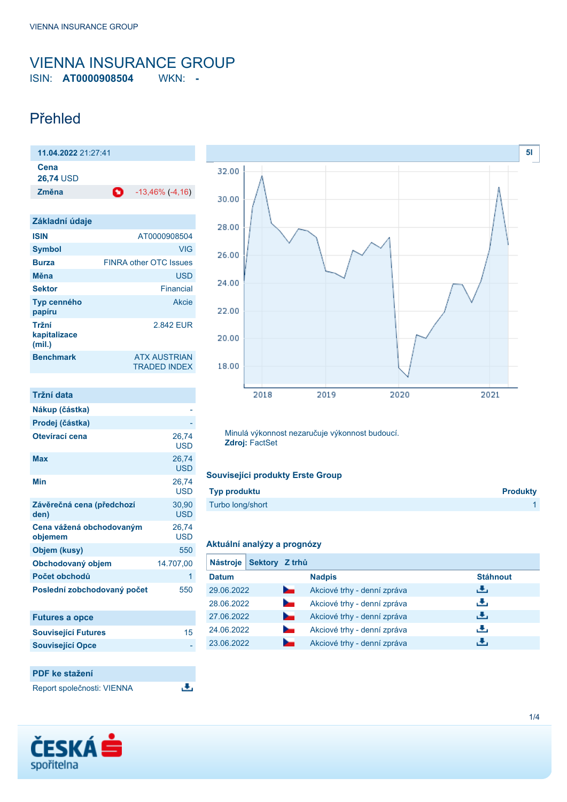# <span id="page-0-0"></span>VIENNA INSURANCE GROUP ISIN: **AT0000908504** WKN: **-**

# Přehled

| Cena<br><b>26,74 USD</b><br>O<br>Změna | 11.04.2022 21:27:41 |                        |
|----------------------------------------|---------------------|------------------------|
|                                        |                     |                        |
|                                        |                     | $-13,46\%$ ( $-4,16$ ) |

| Základní údaje                  |                                            |
|---------------------------------|--------------------------------------------|
| <b>ISIN</b>                     | AT0000908504                               |
| <b>Symbol</b>                   | VIG                                        |
| <b>Burza</b>                    | <b>FINRA other OTC Issues</b>              |
| Měna                            | <b>USD</b>                                 |
| <b>Sektor</b>                   | Financial                                  |
| Typ cenného<br>papíru           | Akcie                                      |
| Tržní<br>kapitalizace<br>(mil.) | 2842 FUR                                   |
| <b>Benchmark</b>                | <b>ATX AUSTRIAN</b><br><b>TRADED INDEX</b> |

| Tržní data                          |                     |
|-------------------------------------|---------------------|
| Nákup (částka)                      |                     |
| Prodej (částka)                     |                     |
| Otevírací cena                      | 26,74<br>USD        |
| Max                                 | 26,74<br>USD        |
| Min                                 | 26,74<br><b>USD</b> |
| Závěrečná cena (předchozí<br>den)   | 30,90<br><b>USD</b> |
| Cena vážená obchodovaným<br>objemem | 26,74<br><b>USD</b> |
| Objem (kusy)                        | 550                 |
| Obchodovaný objem                   | 14.707,00           |
| Počet obchodů                       | 1                   |
| Poslední zobchodovaný počet         | 550                 |
|                                     |                     |

| <b>Futures a opce</b>      |    |
|----------------------------|----|
| <b>Související Futures</b> | 15 |
| <b>Související Opce</b>    |    |
|                            |    |

遇

## **PDF ke stažení**

Report společnosti: VIENNA



Minulá výkonnost nezaručuje výkonnost budoucí. **Zdroj:** FactSet

### **Souvisejíci produkty Erste Group**

| <b>Typ produktu</b> | <b>Produkty</b> |
|---------------------|-----------------|
| Turbo long/short    |                 |

#### **Aktuální analýzy a prognózy**

| <b>Nástroje</b> | Sektory Z trhů |                             |                 |
|-----------------|----------------|-----------------------------|-----------------|
| <b>Datum</b>    |                | <b>Nadpis</b>               | <b>Stáhnout</b> |
| 29.06.2022      |                | Akciové trhy - denní zpráva | رنان            |
| 28.06.2022      |                | Akciové trhy - denní zpráva | رنان            |
| 27.06.2022      |                | Akciové trhy - denní zpráva | J.              |
| 24.06.2022      | $\sim$         | Akciové trhy - denní zpráva | J.              |
| 23.06.2022      |                | Akciové trhy - denní zpráva | æ,              |

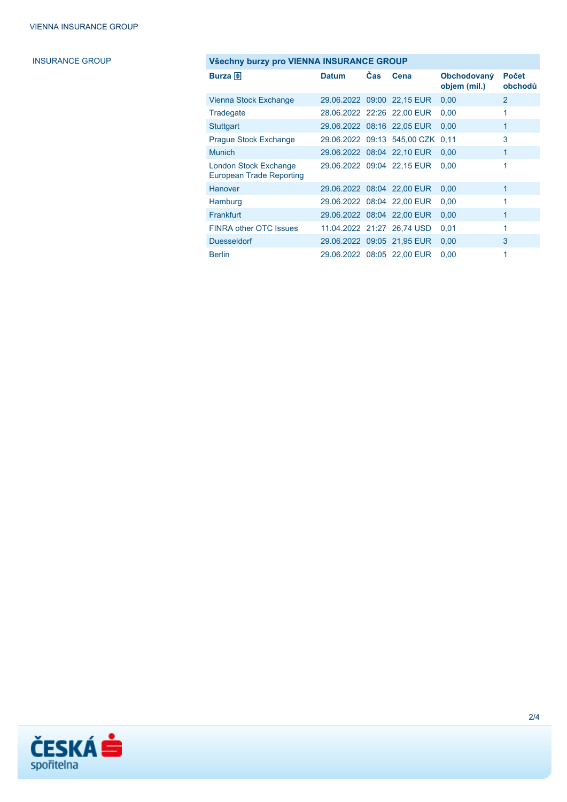# **INSURANCE GROUP**

| Všechny burzy pro VIENNA INSURANCE GROUP                 |              |            |                             |                             |                         |
|----------------------------------------------------------|--------------|------------|-----------------------------|-----------------------------|-------------------------|
| Burza 中                                                  | <b>Datum</b> | <b>Čas</b> | Cena                        | Obchodovaný<br>objem (mil.) | <b>Počet</b><br>obchodů |
| Vienna Stock Exchange                                    |              |            | 29.06.2022 09:00 22,15 EUR  | 0,00                        | $\overline{2}$          |
| Tradegate                                                |              |            | 28.06.2022 22:26 22,00 EUR  | 0,00                        | 1                       |
| Stuttgart                                                |              |            | 29.06.2022 08:16 22,05 EUR  | 0,00                        | 1                       |
| <b>Prague Stock Exchange</b>                             |              |            | 29.06.2022 09:13 545,00 CZK | 0.11                        | 3                       |
| <b>Munich</b>                                            |              |            | 29.06.2022 08:04 22,10 EUR  | 0,00                        | 1                       |
| London Stock Exchange<br><b>European Trade Reporting</b> |              |            | 29.06.2022 09:04 22,15 EUR  | 0.00                        | 1                       |
| Hanover                                                  |              |            | 29.06.2022 08:04 22,00 EUR  | 0,00                        | 1                       |
| Hamburg                                                  |              |            | 29.06.2022 08:04 22,00 EUR  | 0,00                        | 1                       |
| <b>Frankfurt</b>                                         |              |            | 29.06.2022 08:04 22,00 EUR  | 0,00                        | 1                       |
| <b>FINRA other OTC Issues</b>                            |              |            | 11.04.2022 21:27 26.74 USD  | 0,01                        | 1                       |
| <b>Duesseldorf</b>                                       |              |            | 29.06.2022 09:05 21,95 EUR  | 0,00                        | 3                       |
| <b>Berlin</b>                                            |              |            | 29.06.2022 08:05 22,00 EUR  | 0,00                        | 1                       |

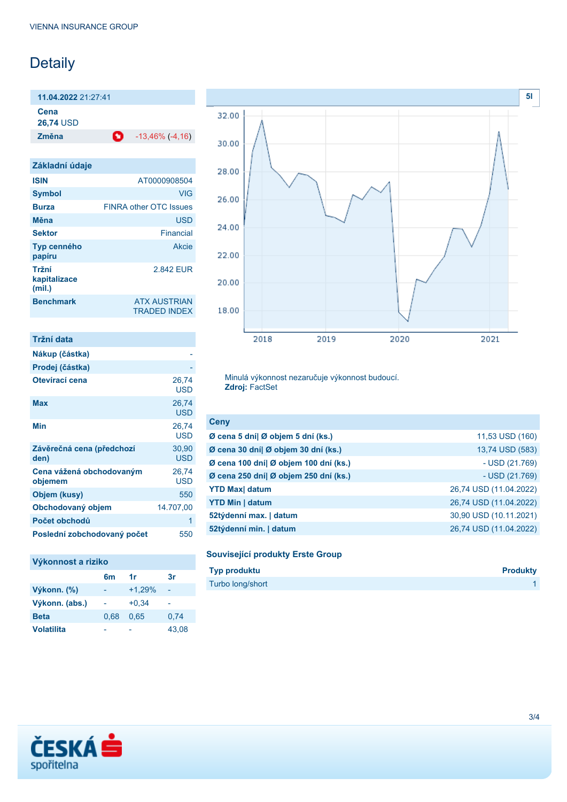# Detaily

**11.04.2022** 21:27:41

**Cena**

**26,74** USD

**Změna** -13,46% (-4,16)

| Základní údaje                  |                                            |
|---------------------------------|--------------------------------------------|
| <b>ISIN</b>                     | AT0000908504                               |
| <b>Symbol</b>                   | <b>VIG</b>                                 |
| <b>Burza</b>                    | <b>FINRA other OTC Issues</b>              |
| Měna                            | <b>USD</b>                                 |
| <b>Sektor</b>                   | Financial                                  |
| Typ cenného<br>papíru           | Akcie                                      |
| Tržní<br>kapitalizace<br>(mil.) | 2842 FUR                                   |
| <b>Benchmark</b>                | <b>ATX AUSTRIAN</b><br><b>TRADED INDEX</b> |

| Tržní data                          |                     |
|-------------------------------------|---------------------|
| Nákup (částka)                      |                     |
| Prodej (částka)                     |                     |
| Otevírací cena                      | 26,74<br>USD        |
| Max                                 | 26,74<br>USD        |
| Min                                 | 26,74<br>USD        |
| Závěrečná cena (předchozí<br>den)   | 30,90<br><b>USD</b> |
| Cena vážená obchodovaným<br>objemem | 26,74<br>USD        |
| Objem (kusy)                        | 550                 |
| Obchodovaný objem                   | 14.707,00           |
| Počet obchodů                       | 1                   |
| Poslední zobchodovaný počet         | 550                 |

### **Výkonnost a riziko**

|                   | 6 <sub>m</sub> | 1r       | 3r    |
|-------------------|----------------|----------|-------|
| Výkonn. (%)       |                | $+1,29%$ |       |
| Výkonn. (abs.)    |                | $+0.34$  |       |
| <b>Beta</b>       | 0.68           | 0.65     | 0.74  |
| <b>Volatilita</b> |                |          | 43,08 |



Minulá výkonnost nezaručuje výkonnost budoucí. **Zdroj:** FactSet

| <b>Ceny</b>                           |                        |
|---------------------------------------|------------------------|
| Ø cena 5 dní  Ø objem 5 dní (ks.)     | 11,53 USD (160)        |
| Ø cena 30 dní  Ø objem 30 dní (ks.)   | 13,74 USD (583)        |
| Ø cena 100 dní  Ø objem 100 dní (ks.) | $-$ USD (21.769)       |
| Ø cena 250 dní  Ø objem 250 dní (ks.) | $-$ USD (21.769)       |
| <b>YTD Max</b> datum                  | 26,74 USD (11.04.2022) |
| <b>YTD Min   datum</b>                | 26,74 USD (11.04.2022) |
| 52týdenní max.   datum                | 30,90 USD (10.11.2021) |
| 52týdenní min.   datum                | 26,74 USD (11.04.2022) |

### **Související produkty Erste Group**

| <b>Typ produktu</b> | <b>Produkty</b> |
|---------------------|-----------------|
| Turbo long/short    |                 |